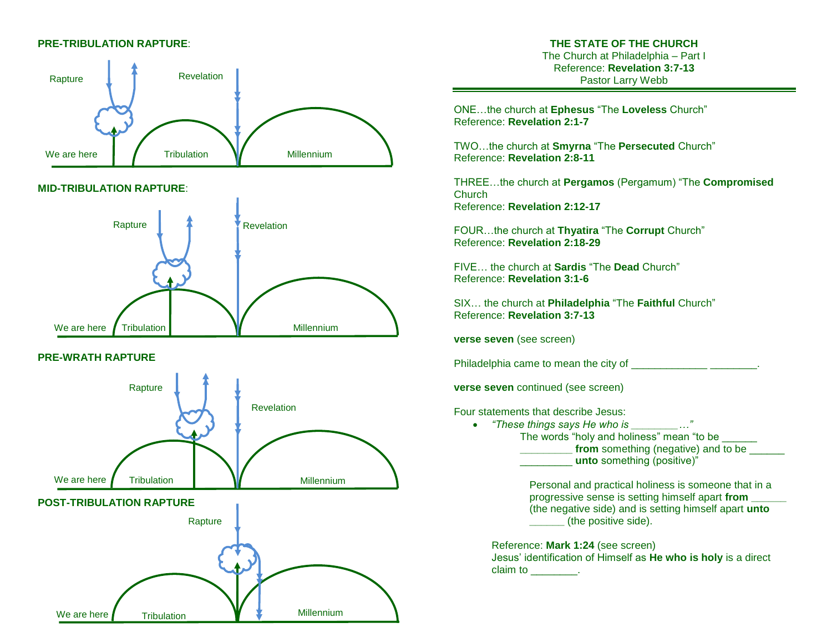### **PRE-TRIBULATION RAPTURE**:



#### **MID-TRIBULATION RAPTURE**:



## **PRE-WRATH RAPTURE**

We are here **Tribulation** 



**Millennium** 

# **THE STATE OF THE CHURCH**

The Church at Philadelphia – Part I Reference: **Revelation 3:7-13** Pastor Larry Webb

ONE…the church at **Ephesus** "The **Loveless** Church" Reference: **Revelation 2:1-7** 

TWO…the church at **Smyrna** "The **Persecuted** Church" Reference: **Revelation 2:8-11**

THREE…the church at **Pergamos** (Pergamum) "The **Compromised Church** Reference: **Revelation 2:12-17**

FOUR…the church at **Thyatira** "The **Corrupt** Church" Reference: **Revelation 2:18-29** 

FIVE… the church at **Sardis** "The **Dead** Church" Reference: **Revelation 3:1-6**

SIX… the church at **Philadelphia** "The **Faithful** Church" Reference: **Revelation 3:7-13**

**verse seven** (see screen)

Philadelphia came to mean the city of  $\blacksquare$ 

**verse seven** continued (see screen)

Four statements that describe Jesus:

 *"These things says He who is \_\_\_\_\_\_\_\_…"*  The words "holy and holiness" mean "to be **from** something (negative) and to be \_\_\_\_\_\_\_\_\_ **unto** something (positive)"

> Personal and practical holiness is someone that in a progressive sense is setting himself apart **from \_\_\_\_\_\_** (the negative side) and is setting himself apart **unto \_\_\_\_\_\_** (the positive side).

Reference: **Mark 1:24** (see screen) Jesus' identification of Himself as **He who is holy** is a direct claim to the claim to the claim to the claim to the claim of the control of the control of the control of the c